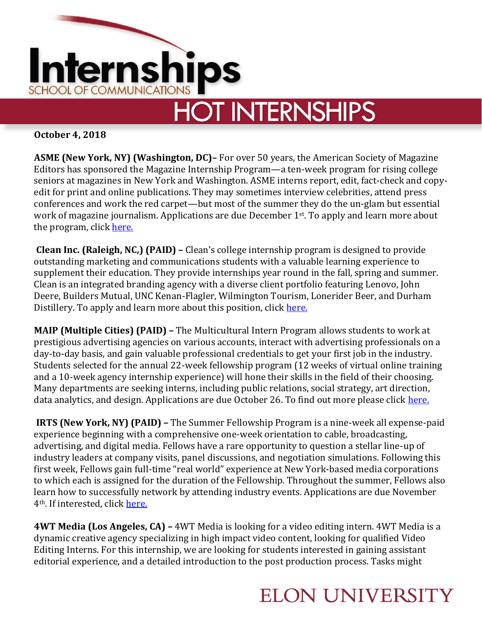

**October 4, 2018**

**ASME (New York, NY) (Washington, DC)–** For over 50 years, the American Society of Magazine Editors has sponsored the Magazine Internship Program—a ten-week program for rising college seniors at magazines in New York and Washington. ASME interns report, edit, fact-check and copyedit for print and online publications. They may sometimes interview celebrities, attend press conferences and work the red carpet—but most of the summer they do the un-glam but essential work of magazine journalism. Applications are due December 1<sup>st</sup>. To apply and learn more about the program, click [here.](https://asmeinternship.secure-platform.com/a)

**Clean Inc. (Raleigh, NC,) (PAID) –** Clean's college internship program is designed to provide outstanding marketing and communications students with a valuable learning experience to supplement their education. They provide internships year round in the fall, spring and summer. Clean is an integrated branding agency with a diverse client portfolio featuring Lenovo, John Deere, Builders Mutual, UNC Kenan-Flagler, Wilmington Tourism, Lonerider Beer, and Durham Distillery. To apply and learn more about this position, clic[k here.](https://cleaninc.com/careers/#op-62256-internships)

**MAIP (Multiple Cities) (PAID) –** The Multicultural Intern Program allows students to work at prestigious advertising agencies on various accounts, interact with advertising professionals on a day-to-day basis, and gain valuable professional credentials to get your first job in the industry. Students selected for the annual 22-week fellowship program (12 weeks of virtual online training and a 10-week agency internship experience) will hone their skills in the field of their choosing. Many departments are seeking interns, including public relations, social strategy, art direction, data analytics, and design. Applications are due October 26. To find out more please click [here.](https://maip.aaaa.org/application/)

**IRTS (New York, NY) (PAID) –** The Summer Fellowship Program is a nine-week all expense-paid experience beginning with a comprehensive one-week orientation to cable, broadcasting, advertising, and digital media. Fellows have a rare opportunity to question a stellar line-up of industry leaders at company visits, panel discussions, and negotiation simulations. Following this first week, Fellows gain full-time "real world" experience at New York-based media corporations to which each is assigned for the duration of the Fellowship. Throughout the summer, Fellows also learn how to successfully network by attending industry events. Applications are due November 4th. If interested, click [here.](http://irtsfoundation.org/college-programs/summer-fellowship/)

**4WT Media (Los Angeles, CA) –** 4WT Media is looking for a video editing intern. 4WT Media is a dynamic creative agency specializing in high impact video content, looking for qualified Video Editing Interns. For this internship, we are looking for students interested in gaining assistant editorial experience, and a detailed introduction to the post production process. Tasks might

## **ELON UNIVERSITY**